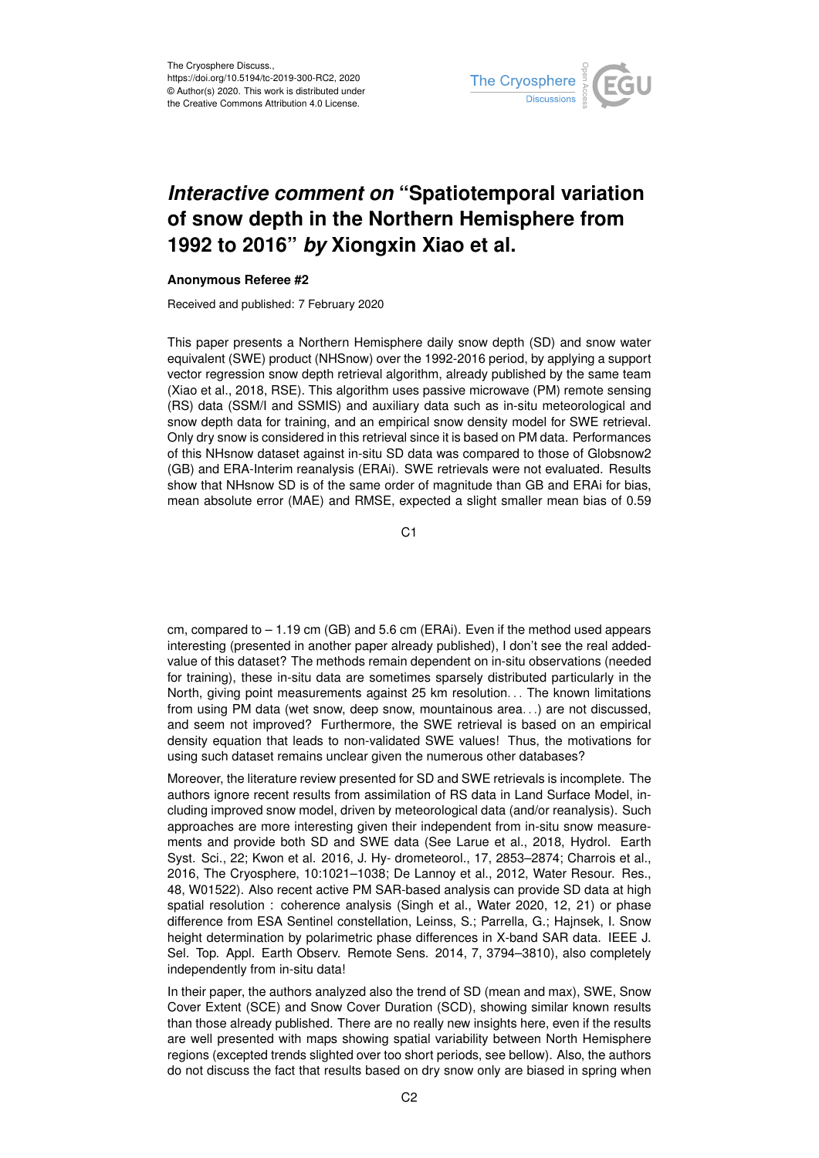

## *Interactive comment on* **"Spatiotemporal variation of snow depth in the Northern Hemisphere from 1992 to 2016"** *by* **Xiongxin Xiao et al.**

## **Anonymous Referee #2**

Received and published: 7 February 2020

This paper presents a Northern Hemisphere daily snow depth (SD) and snow water equivalent (SWE) product (NHSnow) over the 1992-2016 period, by applying a support vector regression snow depth retrieval algorithm, already published by the same team (Xiao et al., 2018, RSE). This algorithm uses passive microwave (PM) remote sensing (RS) data (SSM/I and SSMIS) and auxiliary data such as in-situ meteorological and snow depth data for training, and an empirical snow density model for SWE retrieval. Only dry snow is considered in this retrieval since it is based on PM data. Performances of this NHsnow dataset against in-situ SD data was compared to those of Globsnow2 (GB) and ERA-Interim reanalysis (ERAi). SWE retrievals were not evaluated. Results show that NHsnow SD is of the same order of magnitude than GB and ERAi for bias, mean absolute error (MAE) and RMSE, expected a slight smaller mean bias of 0.59

C1

cm, compared to – 1.19 cm (GB) and 5.6 cm (ERAi). Even if the method used appears interesting (presented in another paper already published), I don't see the real addedvalue of this dataset? The methods remain dependent on in-situ observations (needed for training), these in-situ data are sometimes sparsely distributed particularly in the North, giving point measurements against 25 km resolution. . . The known limitations from using PM data (wet snow, deep snow, mountainous area. . .) are not discussed, and seem not improved? Furthermore, the SWE retrieval is based on an empirical density equation that leads to non-validated SWE values! Thus, the motivations for using such dataset remains unclear given the numerous other databases?

Moreover, the literature review presented for SD and SWE retrievals is incomplete. The authors ignore recent results from assimilation of RS data in Land Surface Model, including improved snow model, driven by meteorological data (and/or reanalysis). Such approaches are more interesting given their independent from in-situ snow measurements and provide both SD and SWE data (See Larue et al., 2018, Hydrol. Earth Syst. Sci., 22; Kwon et al. 2016, J. Hy- drometeorol., 17, 2853–2874; Charrois et al., 2016, The Cryosphere, 10:1021–1038; De Lannoy et al., 2012, Water Resour. Res., 48, W01522). Also recent active PM SAR-based analysis can provide SD data at high spatial resolution : coherence analysis (Singh et al., Water 2020, 12, 21) or phase difference from ESA Sentinel constellation, Leinss, S.; Parrella, G.; Hajnsek, I. Snow height determination by polarimetric phase differences in X-band SAR data. IEEE J. Sel. Top. Appl. Earth Observ. Remote Sens. 2014, 7, 3794–3810), also completely independently from in-situ data!

In their paper, the authors analyzed also the trend of SD (mean and max), SWE, Snow Cover Extent (SCE) and Snow Cover Duration (SCD), showing similar known results than those already published. There are no really new insights here, even if the results are well presented with maps showing spatial variability between North Hemisphere regions (excepted trends slighted over too short periods, see bellow). Also, the authors do not discuss the fact that results based on dry snow only are biased in spring when